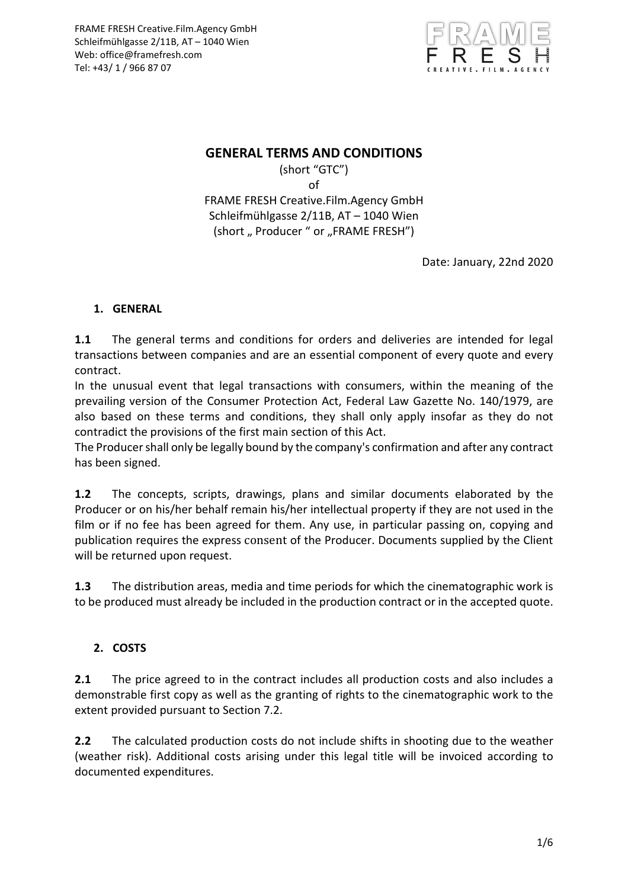

### **GENERAL TERMS AND CONDITIONS**

(short "GTC") of FRAME FRESH Creative.Film.Agency GmbH Schleifmühlgasse 2/11B, AT – 1040 Wien (short "Producer " or "FRAME FRESH")

Date: January, 22nd 2020

### **1. GENERAL**

**1.1** The general terms and conditions for orders and deliveries are intended for legal transactions between companies and are an essential component of every quote and every contract.

In the unusual event that legal transactions with consumers, within the meaning of the prevailing version of the Consumer Protection Act, Federal Law Gazette No. 140/1979, are also based on these terms and conditions, they shall only apply insofar as they do not contradict the provisions of the first main section of this Act.

The Producer shall only be legally bound by the company's confirmation and after any contract has been signed.

**1.2** The concepts, scripts, drawings, plans and similar documents elaborated by the Producer or on his/her behalf remain his/her intellectual property if they are not used in the film or if no fee has been agreed for them. Any use, in particular passing on, copying and publication requires the express consent of the Producer. Documents supplied by the Client will be returned upon request.

**1.3** The distribution areas, media and time periods for which the cinematographic work is to be produced must already be included in the production contract or in the accepted quote.

### **2. COSTS**

**2.1** The price agreed to in the contract includes all production costs and also includes a demonstrable first copy as well as the granting of rights to the cinematographic work to the extent provided pursuant to Section 7.2.

**2.2** The calculated production costs do not include shifts in shooting due to the weather (weather risk). Additional costs arising under this legal title will be invoiced according to documented expenditures.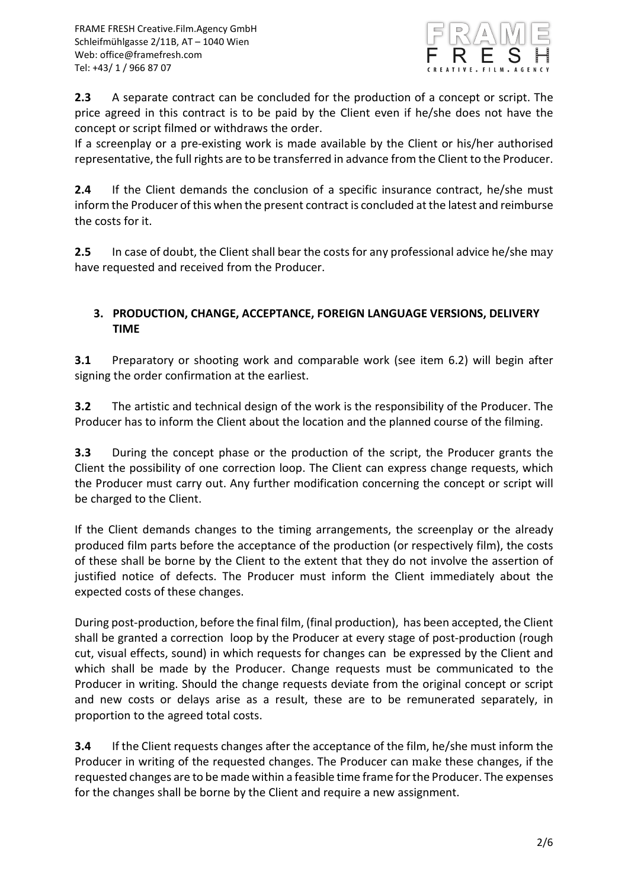

**2.3** A separate contract can be concluded for the production of a concept or script. The price agreed in this contract is to be paid by the Client even if he/she does not have the concept or script filmed or withdraws the order.

If a screenplay or a pre-existing work is made available by the Client or his/her authorised representative, the full rights are to be transferred in advance from the Client to the Producer.

**2.4** If the Client demands the conclusion of a specific insurance contract, he/she must inform the Producer of this when the present contract is concluded at the latest and reimburse the costs for it.

**2.5** In case of doubt, the Client shall bear the costs for any professional advice he/she may have requested and received from the Producer.

#### **3. PRODUCTION, CHANGE, ACCEPTANCE, FOREIGN LANGUAGE VERSIONS, DELIVERY TIME**

**3.1** Preparatory or shooting work and comparable work (see item 6.2) will begin after signing the order confirmation at the earliest.

**3.2** The artistic and technical design of the work is the responsibility of the Producer. The Producer has to inform the Client about the location and the planned course of the filming.

**3.3** During the concept phase or the production of the script, the Producer grants the Client the possibility of one correction loop. The Client can express change requests, which the Producer must carry out. Any further modification concerning the concept or script will be charged to the Client.

If the Client demands changes to the timing arrangements, the screenplay or the already produced film parts before the acceptance of the production (or respectively film), the costs of these shall be borne by the Client to the extent that they do not involve the assertion of justified notice of defects. The Producer must inform the Client immediately about the expected costs of these changes.

During post-production, before the final film, (final production), has been accepted, the Client shall be granted a correction loop by the Producer at every stage of post-production (rough cut, visual effects, sound) in which requests for changes can be expressed by the Client and which shall be made by the Producer. Change requests must be communicated to the Producer in writing. Should the change requests deviate from the original concept or script and new costs or delays arise as a result, these are to be remunerated separately, in proportion to the agreed total costs.

**3.4** If the Client requests changes after the acceptance of the film, he/she must inform the Producer in writing of the requested changes. The Producer can make these changes, if the requested changes are to be made within a feasible time frame for the Producer. The expenses for the changes shall be borne by the Client and require a new assignment.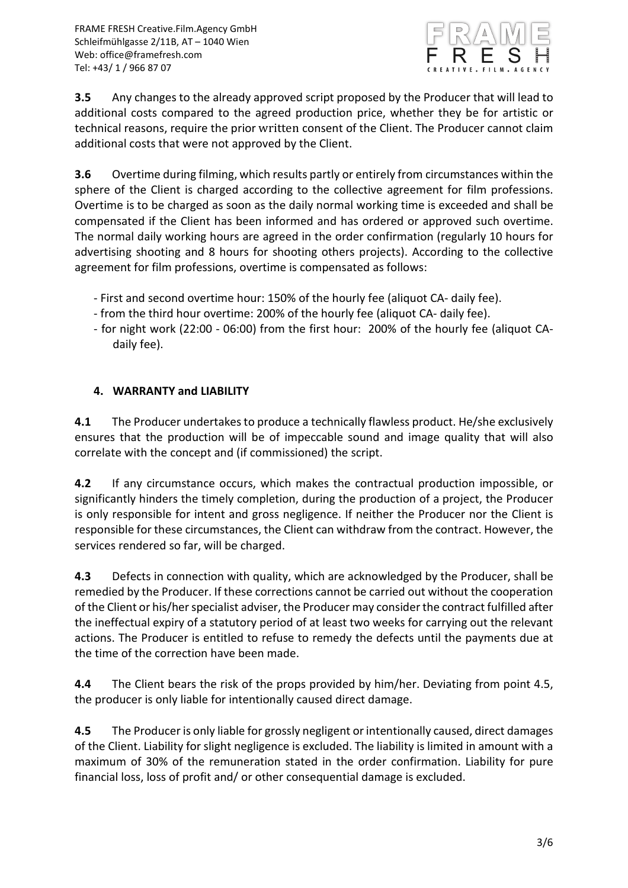

**3.5** Any changes to the already approved script proposed by the Producer that will lead to additional costs compared to the agreed production price, whether they be for artistic or technical reasons, require the prior written consent of the Client. The Producer cannot claim additional costs that were not approved by the Client.

**3.6** Overtime during filming, which results partly or entirely from circumstances within the sphere of the Client is charged according to the collective agreement for film professions. Overtime is to be charged as soon as the daily normal working time is exceeded and shall be compensated if the Client has been informed and has ordered or approved such overtime. The normal daily working hours are agreed in the order confirmation (regularly 10 hours for advertising shooting and 8 hours for shooting others projects). According to the collective agreement for film professions, overtime is compensated as follows:

- First and second overtime hour: 150% of the hourly fee (aliquot CA- daily fee).
- from the third hour overtime: 200% of the hourly fee (aliquot CA- daily fee).
- for night work (22:00 06:00) from the first hour: 200% of the hourly fee (aliquot CAdaily fee).

## **4. WARRANTY and LIABILITY**

**4.1** The Producer undertakes to produce a technically flawless product. He/she exclusively ensures that the production will be of impeccable sound and image quality that will also correlate with the concept and (if commissioned) the script.

**4.2** If any circumstance occurs, which makes the contractual production impossible, or significantly hinders the timely completion, during the production of a project, the Producer is only responsible for intent and gross negligence. If neither the Producer nor the Client is responsible for these circumstances, the Client can withdraw from the contract. However, the services rendered so far, will be charged.

**4.3** Defects in connection with quality, which are acknowledged by the Producer, shall be remedied by the Producer. If these corrections cannot be carried out without the cooperation of the Client or his/her specialist adviser, the Producer may consider the contract fulfilled after the ineffectual expiry of a statutory period of at least two weeks for carrying out the relevant actions. The Producer is entitled to refuse to remedy the defects until the payments due at the time of the correction have been made.

**4.4** The Client bears the risk of the props provided by him/her. Deviating from point 4.5, the producer is only liable for intentionally caused direct damage.

**4.5** The Producer is only liable for grossly negligent or intentionally caused, direct damages of the Client. Liability for slight negligence is excluded. The liability is limited in amount with a maximum of 30% of the remuneration stated in the order confirmation. Liability for pure financial loss, loss of profit and/ or other consequential damage is excluded.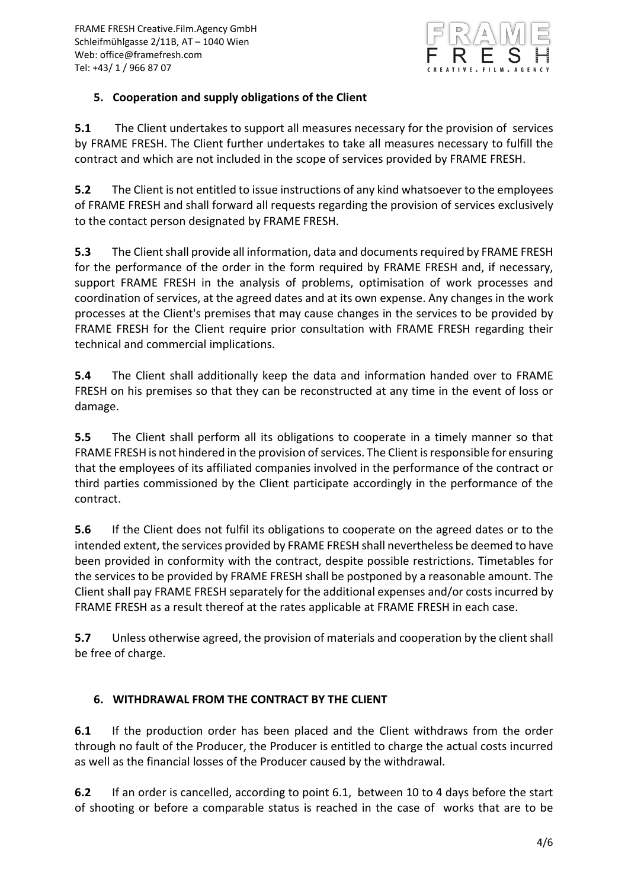

### **5. Cooperation and supply obligations of the Client**

**5.1** The Client undertakes to support all measures necessary for the provision of services by FRAME FRESH. The Client further undertakes to take all measures necessary to fulfill the contract and which are not included in the scope of services provided by FRAME FRESH.

**5.2** The Client is not entitled to issue instructions of any kind whatsoever to the employees of FRAME FRESH and shall forward all requests regarding the provision of services exclusively to the contact person designated by FRAME FRESH.

**5.3** The Client shall provide all information, data and documents required by FRAME FRESH for the performance of the order in the form required by FRAME FRESH and, if necessary, support FRAME FRESH in the analysis of problems, optimisation of work processes and coordination of services, at the agreed dates and at its own expense. Any changes in the work processes at the Client's premises that may cause changes in the services to be provided by FRAME FRESH for the Client require prior consultation with FRAME FRESH regarding their technical and commercial implications.

**5.4** The Client shall additionally keep the data and information handed over to FRAME FRESH on his premises so that they can be reconstructed at any time in the event of loss or damage.

**5.5** The Client shall perform all its obligations to cooperate in a timely manner so that FRAME FRESH is not hindered in the provision of services. The Client is responsible for ensuring that the employees of its affiliated companies involved in the performance of the contract or third parties commissioned by the Client participate accordingly in the performance of the contract.

**5.6** If the Client does not fulfil its obligations to cooperate on the agreed dates or to the intended extent, the services provided by FRAME FRESH shall nevertheless be deemed to have been provided in conformity with the contract, despite possible restrictions. Timetables for the services to be provided by FRAME FRESH shall be postponed by a reasonable amount. The Client shall pay FRAME FRESH separately for the additional expenses and/or costs incurred by FRAME FRESH as a result thereof at the rates applicable at FRAME FRESH in each case.

**5.7** Unless otherwise agreed, the provision of materials and cooperation by the client shall be free of charge.

# **6. WITHDRAWAL FROM THE CONTRACT BY THE CLIENT**

**6.1** If the production order has been placed and the Client withdraws from the order through no fault of the Producer, the Producer is entitled to charge the actual costs incurred as well as the financial losses of the Producer caused by the withdrawal.

**6.2** If an order is cancelled, according to point 6.1, between 10 to 4 days before the start of shooting or before a comparable status is reached in the case of works that are to be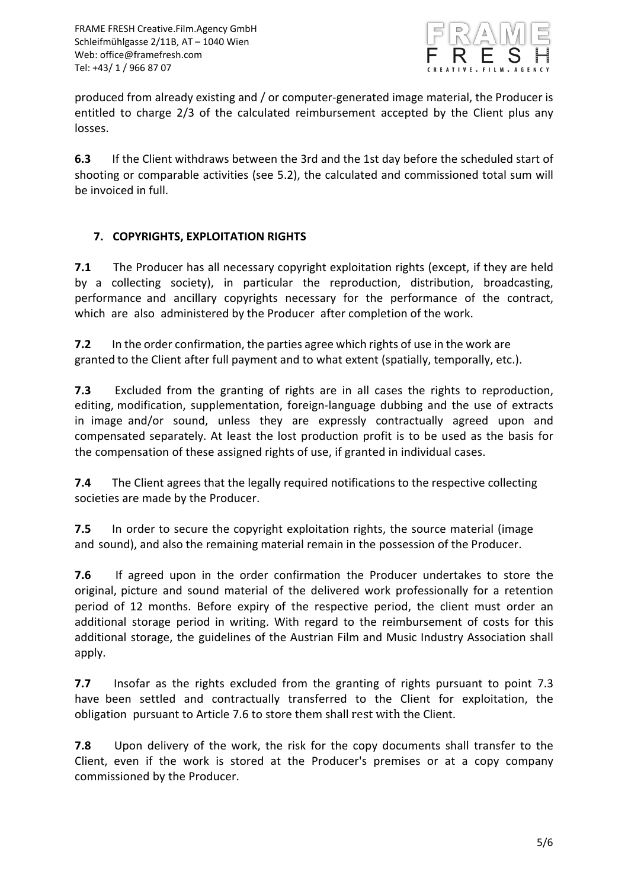

produced from already existing and / or computer-generated image material, the Producer is entitled to charge 2/3 of the calculated reimbursement accepted by the Client plus any losses.

**6.3** If the Client withdraws between the 3rd and the 1st day before the scheduled start of shooting or comparable activities (see 5.2), the calculated and commissioned total sum will be invoiced in full.

### **7. COPYRIGHTS, EXPLOITATION RIGHTS**

**7.1** The Producer has all necessary copyright exploitation rights (except, if they are held by a collecting society), in particular the reproduction, distribution, broadcasting, performance and ancillary copyrights necessary for the performance of the contract, which are also administered by the Producer after completion of the work.

**7.2** In the order confirmation, the parties agree which rights of use in the work are granted to the Client after full payment and to what extent (spatially, temporally, etc.).

**7.3** Excluded from the granting of rights are in all cases the rights to reproduction, editing, modification, supplementation, foreign-language dubbing and the use of extracts in image and/or sound, unless they are expressly contractually agreed upon and compensated separately. At least the lost production profit is to be used as the basis for the compensation of these assigned rights of use, if granted in individual cases.

**7.4** The Client agrees that the legally required notifications to the respective collecting societies are made by the Producer.

**7.5** In order to secure the copyright exploitation rights, the source material (image and sound), and also the remaining material remain in the possession of the Producer.

**7.6** If agreed upon in the order confirmation the Producer undertakes to store the original, picture and sound material of the delivered work professionally for a retention period of 12 months. Before expiry of the respective period, the client must order an additional storage period in writing. With regard to the reimbursement of costs for this additional storage, the guidelines of the Austrian Film and Music Industry Association shall apply.

**7.7** Insofar as the rights excluded from the granting of rights pursuant to point 7.3 have been settled and contractually transferred to the Client for exploitation, the obligation pursuant to Article 7.6 to store them shall rest with the Client.

**7.8** Upon delivery of the work, the risk for the copy documents shall transfer to the Client, even if the work is stored at the Producer's premises or at a copy company commissioned by the Producer.